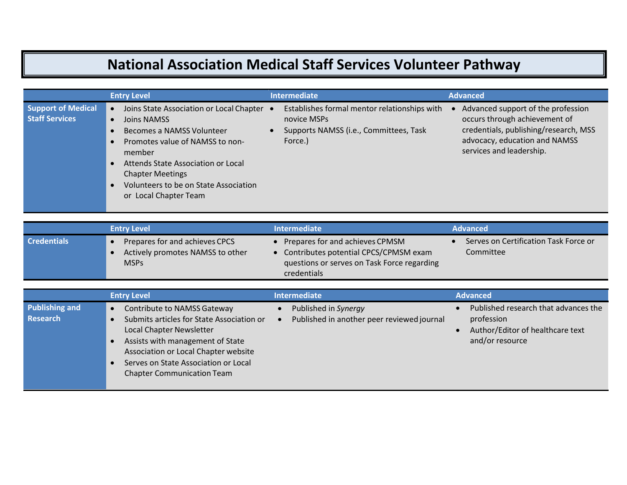## **National Association Medical Staff Services Volunteer Pathway**

|                                                    | <b>Entry Level</b>                                                                                                                                                                                                                                                                                                                    | <b>Intermediate</b>                                                                                              | <b>Advanced</b>                                                                                                                                                           |
|----------------------------------------------------|---------------------------------------------------------------------------------------------------------------------------------------------------------------------------------------------------------------------------------------------------------------------------------------------------------------------------------------|------------------------------------------------------------------------------------------------------------------|---------------------------------------------------------------------------------------------------------------------------------------------------------------------------|
| <b>Support of Medical</b><br><b>Staff Services</b> | Joins State Association or Local Chapter<br>$\bullet$<br>Joins NAMSS<br>$\bullet$<br>Becomes a NAMSS Volunteer<br>Promotes value of NAMSS to non-<br>$\bullet$<br>member<br>Attends State Association or Local<br>$\bullet$<br><b>Chapter Meetings</b><br>Volunteers to be on State Association<br>$\bullet$<br>or Local Chapter Team | Establishes formal mentor relationships with<br>novice MSPs<br>Supports NAMSS (i.e., Committees, Task<br>Force.) | Advanced support of the profession<br>occurs through achievement of<br>credentials, publishing/research, MSS<br>advocacy, education and NAMSS<br>services and leadership. |

|                    | <b>Entry Level</b>                                                                | <b>Intermediate</b>                                                                                                                             | <b>Advanced</b>                                    |
|--------------------|-----------------------------------------------------------------------------------|-------------------------------------------------------------------------------------------------------------------------------------------------|----------------------------------------------------|
| <b>Credentials</b> | Prepares for and achieves CPCS<br>Actively promotes NAMSS to other<br><b>MSPs</b> | Prepares for and achieves CPMSM<br>• Contributes potential CPCS/CPMSM exam<br>questions or serves on Task Force regarding<br><b>credentials</b> | Serves on Certification Task Force or<br>Committee |

|                                   | <b>Entry Level</b>                                                                                                                                                                                                                                                                             | <b>Intermediate</b>                                                | <b>Advanced</b>                                                                                           |
|-----------------------------------|------------------------------------------------------------------------------------------------------------------------------------------------------------------------------------------------------------------------------------------------------------------------------------------------|--------------------------------------------------------------------|-----------------------------------------------------------------------------------------------------------|
| <b>Publishing and</b><br>Research | <b>Contribute to NAMSS Gateway</b><br>$\bullet$<br>Submits articles for State Association or<br>Local Chapter Newsletter<br>Assists with management of State<br>Association or Local Chapter website<br>Serves on State Association or Local<br>$\bullet$<br><b>Chapter Communication Team</b> | Published in Synergy<br>Published in another peer reviewed journal | Published research that advances the<br>profession<br>Author/Editor of healthcare text<br>and/or resource |